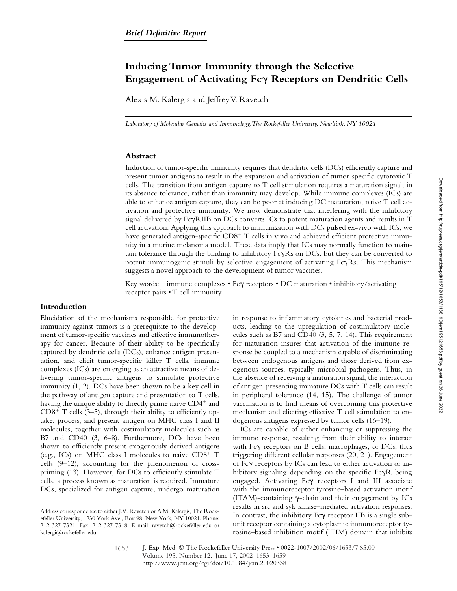# **Inducing Tumor Immunity through the Selective Engagement of Activating Fc**- **Receptors on Dendritic Cells**

Alexis M. Kalergis and Jeffrey V. Ravetch

*Laboratory of Molecular Genetics and Immunology, The Rockefeller University, New York, NY 10021*

### **Abstract**

Induction of tumor-specific immunity requires that dendritic cells (DCs) efficiently capture and present tumor antigens to result in the expansion and activation of tumor-specific cytotoxic T cells. The transition from antigen capture to T cell stimulation requires a maturation signal; in its absence tolerance, rather than immunity may develop. While immune complexes (ICs) are able to enhance antigen capture, they can be poor at inducing DC maturation, naive T cell activation and protective immunity. We now demonstrate that interfering with the inhibitory signal delivered by  $Fe\gamma R IIB$  on  $DCs$  converts  $ICs$  to potent maturation agents and results in  $T$ cell activation. Applying this approach to immunization with DCs pulsed ex-vivo with ICs, we have generated antigen-specific  $CD8<sup>+</sup>$  T cells in vivo and achieved efficient protective immunity in a murine melanoma model. These data imply that ICs may normally function to maintain tolerance through the binding to inhibitory  $Fc\gamma Rs$  on  $DCs$ , but they can be converted to potent immunogenic stimuli by selective engagement of activating FcyRs. This mechanism suggests a novel approach to the development of tumor vaccines.

Key words: immune complexes . Fc $\gamma$  receptors . DC maturation . inhibitory/activating receptor pairs • T cell immunity

## **Introduction**

Elucidation of the mechanisms responsible for protective immunity against tumors is a prerequisite to the development of tumor-specific vaccines and effective immunotherapy for cancer. Because of their ability to be specifically captured by dendritic cells (DCs), enhance antigen presentation, and elicit tumor-specific killer T cells, immune complexes (ICs) are emerging as an attractive means of delivering tumor-specific antigens to stimulate protective immunity (1, 2). DCs have been shown to be a key cell in the pathway of antigen capture and presentation to T cells, having the unique ability to directly prime naive  $CD4^+$  and  $CD8<sup>+</sup>$  T cells (3–5), through their ability to efficiently uptake, process, and present antigen on MHC class I and II molecules, together with costimulatory molecules such as B7 and CD40 (3, 6–8). Furthermore, DCs have been shown to efficiently present exogenously derived antigens (e.g., ICs) on MHC class I molecules to naive  $CD8^+$  T cells (9–12), accounting for the phenomenon of crosspriming (13). However, for DCs to efficiently stimulate T cells, a process known as maturation is required. Immature DCs, specialized for antigen capture, undergo maturation

in response to inflammatory cytokines and bacterial products, leading to the upregulation of costimulatory molecules such as B7 and CD40 (3, 5, 7, 14). This requirement for maturation insures that activation of the immune response be coupled to a mechanism capable of discriminating between endogenous antigens and those derived from exogenous sources, typically microbial pathogens. Thus, in the absence of receiving a maturation signal, the interaction of antigen-presenting immature DCs with T cells can result in peripheral tolerance (14, 15). The challenge of tumor vaccination is to find means of overcoming this protective mechanism and eliciting effective T cell stimulation to endogenous antigens expressed by tumor cells (16–19).

ICs are capable of either enhancing or suppressing the immune response, resulting from their ability to interact with Fcy receptors on B cells, macrophages, or DCs, thus triggering different cellular responses (20, 21). Engagement of Fcy receptors by ICs can lead to either activation or inhibitory signaling depending on the specific FcyR being engaged. Activating Fcy receptors I and III associate with the immunoreceptor tyrosine–based activation motif (ITAM)-containing  $\gamma$ -chain and their engagement by ICs results in src and syk kinase–mediated activation responses. In contrast, the inhibitory Fcy receptor IIB is a single subunit receptor containing a cytoplasmic immunoreceptor tyrosine–based inhibition motif (ITIM) domain that inhibits

Address correspondence to either J.V. Ravetch or A.M. Kalergis, The Rockefeller University, 1230 York Ave., Box 98, New York, NY 10021. Phone: 212-327-7321; Fax: 212-327-7318; E-mail: ravetch@rockefeller.edu or kalergi@rockefeller.edu

<sup>1653</sup>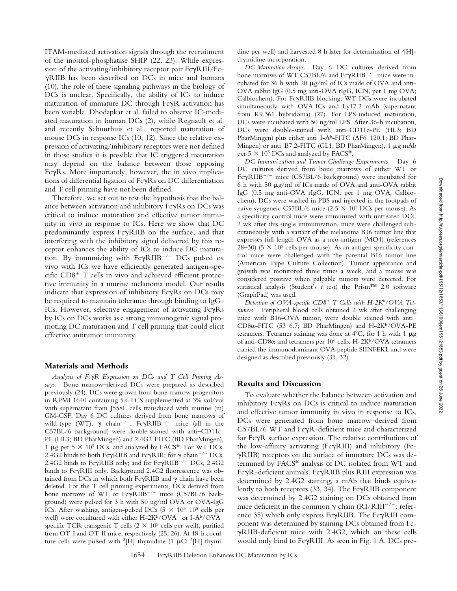ITAM-mediated activation signals through the recruitment of the inositol-phosphatase SHIP (22, 23). While expression of the activating/inhibitory receptor pair FcyRIII/Fc--RIIB has been described on DCs in mice and humans (10), the role of these signaling pathways in the biology of DCs is unclear. Specifically, the ability of ICs to induce maturation of immature DC through Fc $\gamma$ R activation has been variable. Dhodapkar et al. failed to observe IC-mediated maturation in human DCs (2), while Regnault et al. and recently Schuurhuis et al., reported maturation of mouse DCs in response ICs (10, 12). Since the relative expression of activating/inhibitory receptors were not defined in those studies it is possible that IC triggered maturation may depend on the balance between those opposing FcyRs. More importantly, however, the in vivo implications of differential ligation of FcyRs on DC differentiation and T cell priming have not been defined.

Therefore, we set out to test the hypothesis that the balance between activation and inhibitory  $Fc\gamma Rs$  on DCs was critical to induce maturation and effective tumor immunity in vivo in response to ICs. Here we show that DC predominantly express FcyRIIB on the surface, and that interfering with the inhibitory signal delivered by this receptor enhances the ability of ICs to induce DC maturation. By immunizing with  $Fc\gamma R IIB^{-/-}DCs$  pulsed ex vivo with ICs we have efficiently generated antigen-specific  $CD8<sup>+</sup>$  T cells in vivo and achieved efficient protective immunity in a murine melanoma model. Our results indicate that expression of inhibitory  $Fc\gamma Rs$  on DCs may be required to maintain tolerance through binding to IgG– ICs. However, selective engagement of activating FcyRs by ICs on DCs works as a strong immunogenic signal promoting DC maturation and T cell priming that could elicit effective antitumor immunity.

### **Materials and Methods**

*Analysis of Fc*-*R Expression on DCs and T Cell Priming Assays.* Bone marrow–derived DCs were prepared as described previously (24). DCs were grown from bone marrow progenitors in RPMI 1640 containing 5% FCS supplemented at 3% vol/vol with supernatant from J558L cells transduced with murine (m) GM-CSF. Day 6 DC cultures derived from bone marrows of wild-type (WT),  $\gamma$  chain<sup>-/-</sup>, Fc $\gamma$ RIIB<sup>-/-</sup> mice (all in the C57BL/6 background) were double-stained with anti–CD11c-PE (HL3; BD PharMingen) and 2.4G2-FITC (BD PharMingen), 1 µg per 5  $\times$  10<sup>5</sup> DCs, and analyzed by FACS®. For WT DCs, 2.4G2 binds to both Fc $\gamma$ RIIB and Fc $\gamma$ RIII; for  $\gamma$  chain<sup>-/-</sup> DCs, 2.4G2 binds to Fc $\gamma$ RIIB only; and for Fc $\gamma$ RIIB<sup>-/-</sup> DCs, 2.4G2 binds to FcyRIII only. Background 2.4G2 fluorescence was obtained from DCs in which both Fc $\gamma$ RIIB and  $\gamma$  chain have been deleted. For the T cell priming experiments, DCs derived from bone marrows of WT or FcyRIIB<sup>-/-</sup> mice (C57BL/6 background) were pulsed for 3 h with 50 ug/ml OVA or OVA-IgG ICs. After washing, antigen-pulsed DCs  $(5 \times 10^{3}-10^{5})$  cells per well) were cocultured with either H-2K<sup>b</sup>/OVA– or I-A<sup>b</sup>/OVA– specific TCR transgenic T cells  $(2 \times 10^5 \text{ cells per well})$ , purified from OT-I and OT-II mice, respectively (25, 26). At 48-h coculture cells were pulsed with  ${}^{3}$ [H]-thymidine (1 µCi  ${}^{3}$ [H]-thymidine per well) and harvested 8 h later for determination of 3[H] thymidine incorporation.

*DC Maturation Assays.* Day 6 DC cultures derived from bone marrows of WT C57BL/6 and Fc $\gamma$ RIIB<sup>-/-</sup> mice were incubated for 36 h with 20  $\mu$ g/ml of ICs made of OVA and anti-OVA rabbit IgG (0.5 mg anti-OVA rIgG, ICN, per 1 mg OVA; Calbiochem). For FcyRIIB blocking, WT DCs were incubated simultaneously with OVA-ICs and Ly17.2 mAb (supernatant from K9.361 hybridoma) (27). For LPS-induced maturation, DCs were incubated with 50 ng/ml LPS. After 36-h incubation, DCs were double-stained with anti–CD11c-PE (HL3; BD PharMingen) plus either anti-I-A<sup>b</sup>-FITC (AF6-120.1; BD Phar-Mingen) or anti-B7.2-FITC (GL1; BD PharMingen),  $1 \mu$ g mAb per  $5 \times 10^5$  DCs and analyzed by FACS<sup>®</sup>.

*DC Immunization and Tumor Challenge Experiments.* Day 6 DC cultures derived from bone marrows of either WT or FcyRIIB<sup>-/-</sup> mice (C57BL/6 background) were incubated for 6 h with 50  $\mu$ g/ml of ICs made of OVA and anti-OVA rabbit IgG (0.5 mg anti-OVA rIgG, ICN, per 1 mg OVA; Calbiochem). DCs were washed in PBS and injected in the footpads of naive syngeneic C57BL/6 mice  $(2.5 \times 10^5 \text{ DCs}$  per mouse). As a specificity control mice were immunized with untreated DCs. 2 wk after this single immunization, mice were challenged subcutaneously with a variant of the melanoma B16 tumor line that expresses full-length OVA as a neo-antigen (MO4) (references 28–30) (5  $\times$  10<sup>5</sup> cells per mouse). As an antigen specificity control mice were challenged with the parental B16 tumor line (American Type Culture Collection). Tumor appearance and growth was monitored three times a week, and a mouse was considered positive when palpable tumors were detected. For statistical analysis (Student's *t* test) the Prism™ 2.0 software (GraphPad) was used.

Detection of OVA-specific CD8<sup>+</sup> T Cells with H-2K<sup>b</sup>/OVA Tet*ramers.* Peripheral blood cells obtained 2 wk after challenging mice with B16-OVA tumor, were double stained with anti– CD8 $\alpha$ -FITC (53–6.7; BD PharMingen) and H-2Kb/OVA-PE tetramers. Tetramer staining was done at  $4^{\circ}C$ , for 1 h with 1  $\mu$ g of anti-CD8 $\alpha$  and tetramers per 10<sup>6</sup> cells. H-2K<sup>b</sup>/OVA tetramers carried the immunodominant OVA peptide SIINFEKL and were designed as described previously (31, 32).

### **Results and Discussion**

To evaluate whether the balance between activation and inhibitory Fc $\gamma$ Rs on DCs is critical to induce maturation and effective tumor immunity in vivo in response to ICs, DCs were generated from bone marrow–derived from C57BL/6 WT and FcyR-deficient mice and characterized for FcyR surface expression. The relative contributions of the low-affinity activating (FcyRIII) and inhibitory (Fc--RIIB) receptors on the surface of immature DCs was determined by FACS® analysis of DC isolated from WT and FcyR-deficient animals. FcyRIIB plus RIII expression was determined by 2.4G2 staining, a mAb that binds equivalently to both receptors (33, 34). The Fc $\gamma$ RIIB component was determined by 2.4G2 staining on DCs obtained from mice deficient in the common  $\gamma$  chain (RI/RIII<sup>-/-</sup>; reference 35) which only express FcyRIIB. The FcyRIII component was determined by staining DCs obtained from Fc- -RIIB-deficient mice with 2.4G2, which on these cells would only bind to FcyRIII. As seen in Fig. 1 A, DCs pre-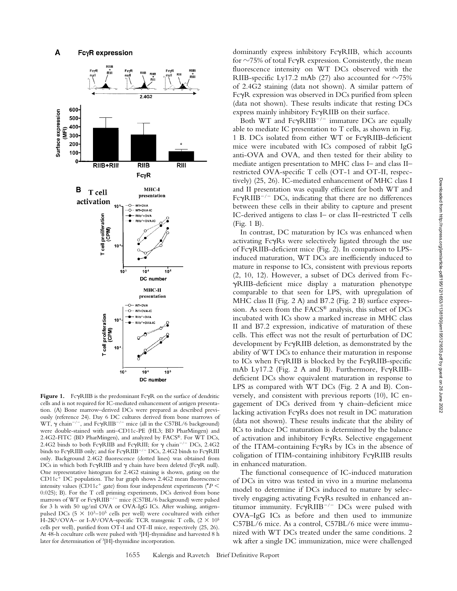

Figure 1. FcyRIIB is the predominant FcyR on the surface of dendritic cells and is not required for IC-mediated enhancement of antigen presentation. (A) Bone marrow–derived DCs were prepared as described previously (reference 24). Day 6 DC cultures derived from bone marrows of WT,  $\gamma$  chain<sup>-/-</sup>, and Fc $\gamma$ RIIB<sup>-/-</sup> mice (all in the C57BL/6 background) were double-stained with anti–CD11c-PE (HL3; BD PharMingen) and 2.4G2-FITC (BD PharMingen), and analyzed by FACS®. For WT DCs, 2.4G2 binds to both Fc $\gamma$ RIIB and Fc $\gamma$ RIII; for  $\gamma$  chain<sup>-/-</sup> DCs, 2.4G2 binds to FcyRIIB only; and for FcyRIIB<sup>-/-</sup> DCs, 2.4G2 binds to FcyRIII only. Background 2.4G2 fluorescence (dotted lines) was obtained from DCs in which both FcyRIIB and  $\gamma$  chain have been deleted (FcyR null). One representative histogram for 2.4G2 staining is shown, gating on the  $CD11c<sup>+</sup> DC population.$  The bar graph shows 2.4G2 mean fluorescence intensity values (CD11 $c^+$  gate) from four independent experiments ( $P$   $\leq$ 0.025); B). For the T cell priming experiments, DCs derived from bone marrows of WT or FcyRIIB<sup>-/-</sup> mice (C57BL/6 background) were pulsed for 3 h with 50 ug/ml OVA or OVA-IgG ICs. After washing, antigenpulsed DCs (5  $\times$  10<sup>3</sup>-10<sup>5</sup> cells per well) were cocultured with either H-2K<sup>b</sup>/OVA– or I-A<sup>b</sup>/OVA–specific TCR transgenic T cells,  $(2 \times 10^5$ cells per well), purified from OT-I and OT-II mice, respectively (25, 26). At 48-h coculture cells were pulsed with 3[H]-thymidine and harvested 8 h later for determination of 3[H]-thymidine incorporation.

dominantly express inhibitory FcyRIIB, which accounts for  $\sim$ 75% of total Fc $\gamma$ R expression. Consistently, the mean fluorescence intensity on WT DCs observed with the RIIB-specific Ly17.2 mAb (27) also accounted for  $\sim$ 75% of 2.4G2 staining (data not shown). A similar pattern of FcyR expression was observed in DCs purified from spleen (data not shown). These results indicate that resting DCs express mainly inhibitory FcyRIIB on their surface.

Both WT and Fc $\gamma$ RIIB<sup>-/-</sup> immature DCs are equally able to mediate IC presentation to T cells, as shown in Fig. 1 B. DCs isolated from either WT or FcyRIIB-deficient mice were incubated with ICs composed of rabbit IgG anti-OVA and OVA, and then tested for their ability to mediate antigen presentation to MHC class I– and class II– restricted OVA-specific T cells (OT-1 and OT-II, respectively) (25, 26). IC-mediated enhancement of MHC class I and II presentation was equally efficient for both WT and Fc $\gamma$ RIIB<sup>-/-</sup> DCs, indicating that there are no differences between these cells in their ability to capture and present IC-derived antigens to class I– or class II–restricted T cells (Fig. 1 B).

In contrast, DC maturation by ICs was enhanced when activating FcyRs were selectively ligated through the use of FcyRIIB-deficient mice (Fig. 2). In comparison to LPSinduced maturation, WT DCs are inefficiently induced to mature in response to ICs, consistent with previous reports (2, 10, 12). However, a subset of DCs derived from Fc- -RIIB-deficient mice display a maturation phenotype comparable to that seen for LPS, with upregulation of MHC class II (Fig. 2 A) and B7.2 (Fig. 2 B) surface expression. As seen from the FACS® analysis, this subset of DCs incubated with ICs show a marked increase in MHC class II and B7.2 expression, indicative of maturation of these cells. This effect was not the result of perturbation of DC development by FcyRIIB deletion, as demonstrated by the ability of WT DCs to enhance their maturation in response to ICs when FcyRIIB is blocked by the FcyRIIB-specific mAb Ly17.2 (Fig. 2 A and B). Furthermore, FcyRIIBdeficient DCs show equivalent maturation in response to LPS as compared with WT DCs (Fig. 2 A and B). Conversely, and consistent with previous reports (10), IC engagement of DCs derived from  $\gamma$  chain-deficient mice lacking activation Fc $\gamma$ Rs does not result in DC maturation (data not shown). These results indicate that the ability of ICs to induce DC maturation is determined by the balance of activation and inhibitory FcyRs. Selective engagement of the ITAM-containing FcyRs by ICs in the absence of coligation of ITIM-containing inhibitory FcyRIIB results in enhanced maturation.

The functional consequence of IC-induced maturation of DCs in vitro was tested in vivo in a murine melanoma model to determine if DCs induced to mature by selectively engaging activating FcyRs resulted in enhanced antitumor immunity.  $Fc\gamma R IIB^{-/-}DCs$  were pulsed with OVA–IgG ICs as before and then used to immunize C57BL/6 mice. As a control, C57BL/6 mice were immunized with WT DCs treated under the same conditions. 2 wk after a single DC immunization, mice were challenged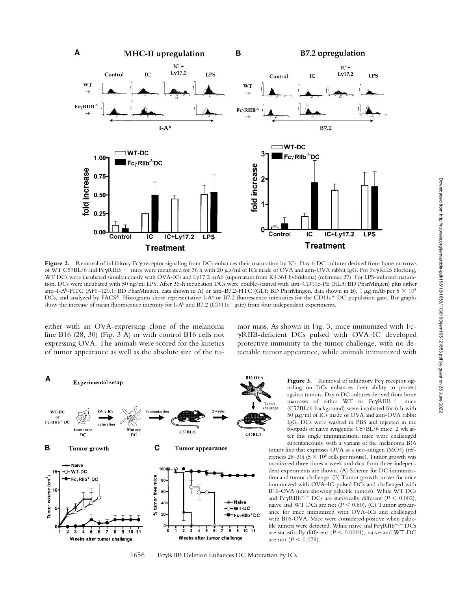

Figure 2. Removal of inhibitory Fcy receptor signaling from DCs enhances their maturation by ICs. Day 6 DC cultures derived from bone marrows of WT C57BL/6 and FcyRIIB<sup>-/-</sup> mice were incubated for 36 h with 20 µg/ml of ICs made of OVA and anti-OVA rabbit IgG. For FcyRIIB blocking, WT DCs were incubated simultaneously with OVA-ICs and Ly17.2 mAb (supernatant from K9.361 hybridoma) (reference 27). For LPS-induced maturation, DCs were incubated with 50 ng/ml LPS. After 36-h incubation DCs were double-stained with anti–CD11c-PE (HL3; BD PharMingen) plus either anti–I-A<sup>b</sup>-FITC (AF6–120.1; BD PharMingen, data shown in A) or anti–B7.2-FITC (GL1; BD PharMingen, data shown in B), 1  $\mu$ g mAb per 5  $\times$  10<sup>5</sup> DCs, and analyzed by FACS®. Histograms show representative I-A<sup>b</sup> or B7.2 fluorescence intensities for the CD11c<sup>+</sup> DC population gate. Bar graphs show the increase of mean fluorescence intensity for I-A<sup>b</sup> and B7.2 (CD11c<sup>+</sup> gate) from four independent experiments.

either with an OVA-expressing clone of the melanoma line B16 (28, 30) (Fig. 3 A) or with control B16 cells not expressing OVA. The animals were scored for the kinetics of tumor appearance as well as the absolute size of the tumor mass. As shown in Fig. 3, mice immunized with Fc- -RIIB-deficient DCs pulsed with OVA–IC developed protective immunity to the tumor challenge, with no detectable tumor appearance, while animals immunized with



Figure 3. Removal of inhibitory Fcy receptor signaling on DCs enhances their ability to protect against tumors. Day 6 DC cultures derived from bone marrows of either WT or FcyRIIB<sup>-/-</sup> mice (C57BL/6 background) were incubated for 6 h with 50 g/ml of ICs made of OVA and anti-OVA rabbit IgG. DCs were washed in PBS and injected in the footpads of naive syngeneic C57BL/6 mice. 2 wk after this single immunization, mice were challenged subcutaneously with a variant of the melanoma B16

tumor line that expresses OVA as a neo-antigen (MO4) (references 28–30) (5  $\times$  10<sup>5</sup> cells per mouse). Tumor growth was monitored three times a week and data from three independent experiments are shown. (A) Scheme for DC immunization and tumor challenge. (B) Tumor growth curves for mice immunized with OVA–IC-pulsed DCs and challenged with B16-OVA (mice showing palpable tumors). While WT DCs and Fc $\gamma$ RIIb<sup>-/-</sup> DCs are statistically different ( $P \le 0.002$ ), naive and WT DCs are not  $(P \le 0.80)$ . (C) Tumor appearance for mice immunized with OVA–ICs and challenged with B16-OVA. Mice were considered positive when palpable tumors were detected. While naive and  $Fc\gamma RIIb^{-/-}$   $DCs$ are statistically different ( $P \le 0.0001$ ), naive and WT-DC are not  $(P \le 0.079)$ .

1656 FcyRIIB Deletion Enhances DC Maturation by ICs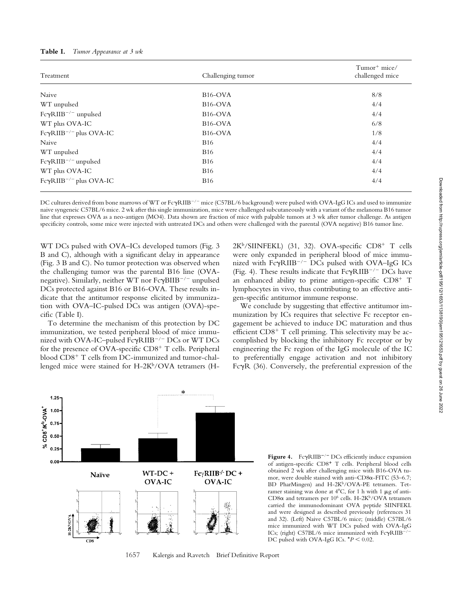| Table I. | Tumor Appearance at 3 wk |  |
|----------|--------------------------|--|
|----------|--------------------------|--|

| Treatment                                | Challenging tumor    | Tumor <sup>+</sup> mice/<br>challenged mice |
|------------------------------------------|----------------------|---------------------------------------------|
| Naive                                    | B <sub>16</sub> -OVA | 8/8                                         |
| WT unpulsed                              | B <sub>16</sub> -OVA | 4/4                                         |
| Fc $\gamma$ RIIB <sup>-/-</sup> unpulsed | B <sub>16</sub> -OVA | 4/4                                         |
| WT plus OVA-IC                           | B <sub>16</sub> -OVA | 6/8                                         |
| $Fc\gamma RIIB^{-/-}$ plus OVA-IC        | B <sub>16</sub> -OVA | 1/8                                         |
| Naive                                    | <b>B</b> 16          | 4/4                                         |
| WT unpulsed                              | <b>B</b> 16          | 4/4                                         |
| $Fc\gamma RIIB^{-/-}$ unpulsed           | <b>B</b> 16          | 4/4                                         |
| WT plus OVA-IC                           | <b>B</b> 16          | 4/4                                         |
| $Fc\gamma RIIB^{-/-}$ plus OVA-IC        | <b>B</b> 16          | 4/4                                         |

DC cultures derived from bone marrows of WT or FcγRIIB<sup>-/-</sup> mice (C57BL/6 background) were pulsed with OVA-IgG ICs and used to immunize naive syngeneic C57BL/6 mice. 2 wk after this single immunization, mice were challenged subcutaneously with a variant of the melanoma B16 tumor line that expresses OVA as a neo-antigen (MO4). Data shown are fraction of mice with palpable tumors at 3 wk after tumor challenge. As antigen specificity controls, some mice were injected with untreated DCs and others were challenged with the parental (OVA negative) B16 tumor line.

WT DCs pulsed with OVA–ICs developed tumors (Fig. 3 B and C), although with a significant delay in appearance (Fig. 3 B and C). No tumor protection was observed when the challenging tumor was the parental B16 line (OVAnegative). Similarly, neither WT nor Fc $\gamma \mathrm{BHB^{-/-}}$  unpulsed DCs protected against B16 or B16-OVA. These results indicate that the antitumor response elicited by immunization with OVA–IC-pulsed DCs was antigen (OVA)-specific (Table I).

To determine the mechanism of this protection by DC immunization, we tested peripheral blood of mice immunized with OVA-IC–pulsed Fc $\gamma$ RIIB<sup>–/–</sup> DCs or WT DCs for the presence of OVA-specific  $CD8<sup>+</sup>$  T cells. Peripheral blood CD8<sup>+</sup> T cells from DC-immunized and tumor-challenged mice were stained for  $H-2K^b/OVA$  tetramers ( $H-$ 

 $2K^b/SIINFEKL$  (31, 32). OVA-specific CD8<sup>+</sup> T cells were only expanded in peripheral blood of mice immunized with  $Fc\gamma R IIB^{-/-}$  DCs pulsed with OVA–IgG ICs (Fig. 4). These results indicate that  $Fc\gamma R IIB^{-/-}DCs$  have an enhanced ability to prime antigen-specific  $CD8^+$  T lymphocytes in vivo, thus contributing to an effective antigen-specific antitumor immune response.

We conclude by suggesting that effective antitumor immunization by ICs requires that selective Fc receptor engagement be achieved to induce DC maturation and thus efficient  $CD8<sup>+</sup>$  T cell priming. This selectivity may be accomplished by blocking the inhibitory Fc receptor or by engineering the Fc region of the IgG molecule of the IC to preferentially engage activation and not inhibitory FcyR (36). Conversely, the preferential expression of the



BD PharMingen) and H-2K<sup>b</sup>/OVA-PE tetramers. Tetramer staining was done at  $4^{\circ}$ C, for 1 h with 1  $\mu$ g of anti-CD8 $\alpha$  and tetramers per 10<sup>6</sup> cells. H-2K<sup>b</sup>/OVA tetramers carried the immunodominant OVA peptide SIINFEKL and were designed as described previously (references 31 and 32). (Left) Naive C57BL/6 mice; (middle) C57BL/6 mice immunized with WT DCs pulsed with OVA-IgG ICs; (right) C57BL/6 mice immunized with  $Fc\gamma R IIB^{-/-}$ DC pulsed with OVA-IgG ICs.  $*P < 0.02$ .

Figure 4. FcyRIIB<sup>-/-</sup> DCs efficiently induce expansion of antigen-specific CD8<sup>+</sup> T cells. Peripheral blood cells obtained 2 wk after challenging mice with B16-OVA tumor, were double stained with anti- $CD8\alpha$ -FITC (53-6.7;

1657 Kalergis and Ravetch Brief Definitive Report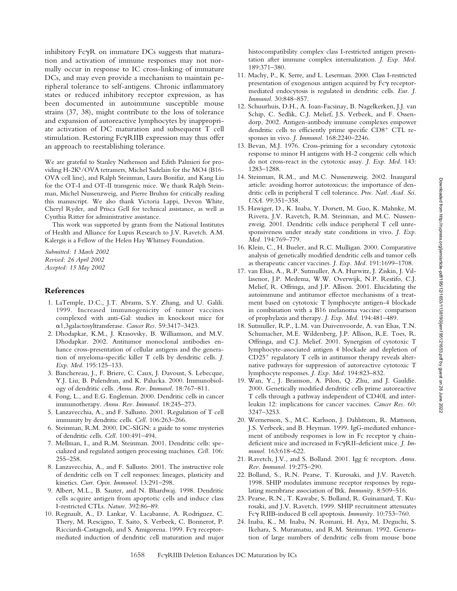inhibitory  $Fc\gamma R$  on immature DCs suggests that maturation and activation of immune responses may not normally occur in response to IC cross-linking of immature DCs, and may even provide a mechanism to maintain peripheral tolerance to self-antigens. Chronic inflammatory states or reduced inhibitory receptor expression, as has been documented in autoimmune susceptible mouse strains (37, 38), might contribute to the loss of tolerance and expansion of autoreactive lymphocytes by inappropriate activation of DC maturation and subsequent T cell stimulation. Restoring FcyRIIB expression may thus offer an approach to reestablishing tolerance.

We are grateful to Stanley Nathenson and Edith Palmieri for providing H-2K<sup>b</sup>/OVA tetramers, Michel Sadelain for the MO4 (B16-OVA cell line), and Ralph Steinman, Laura Bonifaz, and Kang Liu for the OT-I and OT-II transgenic mice. We thank Ralph Steinman, Michel Nussenzweig, and Pierre Bruhns for critically reading this manuscript. We also thank Victoria Lappi, Devon White, Cheryl Ryder, and Prisca Gell for technical assistance, as well as Cynthia Ritter for administrative assistance.

This work was supported by grants from the National Institutes of Health and Alliance for Lupus Research to J.V. Ravetch. A.M. Kalergis is a Fellow of the Helen Hay Whitney Foundation.

*Submitted: 1 March 2002 Revised: 26 April 2002 Accepted: 15 May 2002*

#### **References**

- 1. LaTemple, D.C., J.T. Abrams, S.Y. Zhang, and U. Galili. 1999. Increased immunogenicity of tumor vaccines complexed with anti-Gal: studies in knockout mice for 1,3galactosyltransferase. *Cancer Res.* 59:3417–3423.
- 2. Dhodapkar, K.M., J. Krasovsky, B. Williamson, and M.V. Dhodapkar. 2002. Antitumor monoclonal antibodies enhance cross-presentation of cellular antigens and the generation of myeloma-specific killer T cells by dendritic cells. *J. Exp. Med.* 195:125–133.
- 3. Banchereau, J., F. Briere, C. Caux, J. Davoust, S. Lebecque, Y.J. Liu, B. Pulendran, and K. Palucka. 2000. Immunobiology of dendritic cells. *Annu. Rev. Immunol.* 18:767–811.
- 4. Fong, L., and E.G. Engleman. 2000. Dendritic cells in cancer immunotherapy. *Annu. Rev. Immunol.* 18:245–273.
- 5. Lanzavecchia, A., and F. Sallusto. 2001. Regulation of T cell immunity by dendritic cells. *Cell.* 106:263–266.
- 6. Steinman, R.M. 2000. DC-SIGN: a guide to some mysteries of dendritic cells. *Cell.* 100:491–494.
- 7. Mellman, I., and R.M. Steinman. 2001. Dendritic cells: specialized and regulated antigen processing machines. *Cell.* 106: 255–258.
- 8. Lanzavecchia, A., and F. Sallusto. 2001. The instructive role of dendritic cells on T cell responses: lineages, plasticity and kinetics. *Curr. Opin. Immunol.* 13:291–298.
- 9. Albert, M.L., B. Sauter, and N. Bhardwaj. 1998. Dendritic cells acquire antigen from apoptotic cells and induce class I-restricted CTLs. *Nature.* 392:86–89.
- 10. Regnault, A., D. Lankar, V. Lacabanne, A. Rodriguez, C. Thery, M. Rescigno, T. Saito, S. Verbeek, C. Bonnerot, P. Ricciardi-Castagnoli, and S. Amigorena. 1999. Fcy receptormediated induction of dendritic cell maturation and major

histocompatibility complex class I-restricted antigen presentation after immune complex internalization. *J. Exp. Med.* 189:371–380.

- 11. Machy, P., K. Serre, and L. Leserman. 2000. Class I-restricted presentation of exogenous antigen acquired by Fcy receptormediated endocytosis is regulated in dendritic cells. *Eur. J. Immunol.* 30:848–857.
- 12. Schuurhuis, D.H., A. Ioan-Facsinay, B. Nagelkerken, J.J. van Schip, C. Sedlik, C.J. Melief, J.S. Verbeek, and F. Ossendorp. 2002. Antigen-antibody immune complexes empower dendritic cells to efficiently prime specific  $CD8<sup>+</sup>$  CTL responses in vivo. *J. Immunol.* 168:2240–2246.
- 13. Bevan, M.J. 1976. Cross-priming for a secondary cytotoxic response to minor H antigens with H-2 congenic cells which do not cross-react in the cytotoxic assay. *J. Exp. Med.* 143: 1283–1288.
- 14. Steinman, R.M., and M.C. Nussenzweig. 2002. Inaugural article: avoiding horror autotoxicus: the importance of dendritic cells in peripheral T cell tolerance. *Proc. Natl. Acad. Sci. USA.* 99:351–358.
- 15. Hawiger, D., K. Inaba, Y. Dorsett, M. Guo, K. Mahnke, M. Rivera, J.V. Ravetch, R.M. Steinman, and M.C. Nussenzweig. 2001. Dendritic cells induce peripheral T cell unresponsiveness under steady state conditions in vivo. *J. Exp. Med.* 194:769–779.
- 16. Klein, C., H. Bueler, and R.C. Mulligan. 2000. Comparative analysis of genetically modified dendritic cells and tumor cells as therapeutic cancer vaccines. *J. Exp. Med.* 191:1699–1708.
- 17. van Elsas, A., R.P. Sutmuller, A.A. Hurwitz, J. Ziskin, J. Villasenor, J.P. Medema, W.W. Overwijk, N.P. Restifo, C.J. Melief, R. Offringa, and J.P. Allison. 2001. Elucidating the autoimmune and antitumor effector mechanisms of a treatment based on cytotoxic T lymphocyte antigen-4 blockade in combination with a B16 melanoma vaccine: comparison of prophylaxis and therapy. *J. Exp. Med.* 194:481–489.
- 18. Sutmuller, R.P., L.M. van Duivenvoorde, A. van Elsas, T.N. Schumacher, M.E. Wildenberg, J.P. Allison, R.E. Toes, R. Offringa, and C.J. Melief. 2001. Synergism of cytotoxic T lymphocyte-associated antigen 4 blockade and depletion of  $CD25<sup>+</sup>$  regulatory T cells in antitumor therapy reveals alternative pathways for suppression of autoreactive cytotoxic T lymphocyte responses. *J. Exp. Med.* 194:823–832.
- 19. Wan, Y., J. Bramson, A. Pilon, Q. Zhu, and J. Gauldie. 2000. Genetically modified dendritic cells prime autoreactive T cells through a pathway independent of CD40L and interleukin 12: implications for cancer vaccines. *Cancer Res.* 60: 3247–3253.
- 20. Wernersson, S., M.C. Karlsson, J. Dahlstrom, R. Mattsson, J.S. Verbeek, and B. Heyman. 1999. IgG-mediated enhancement of antibody responses is low in Fc receptor  $\gamma$  chaindeficient mice and increased in FcyRII-deficient mice. *J. Immunol.* 163:618–622.
- 21. Ravetch, J.V., and S. Bolland. 2001. Igg fc receptors. *Annu. Rev. Immunol.* 19:275–290.
- 22. Bolland, S., R.N. Pearse, T. Kurosaki, and J.V. Ravetch. 1998. SHIP modulates immune receptor responses by regulating membrane association of Btk. *Immunity.* 8:509–516.
- 23. Pearse, R.N., T. Kawabe, S. Bolland, R. Guinamard, T. Kurosaki, and J.V. Ravetch. 1999. SHIP recruitment attenuates Fc $\gamma$  RIIB-induced B cell apoptosis. Immunity. 10:753-760.
- 24. Inaba, K., M. Inaba, N. Romani, H. Aya, M. Deguchi, S. Ikehara, S. Muramatsu, and R.M. Steinman. 1992. Generation of large numbers of dendritic cells from mouse bone